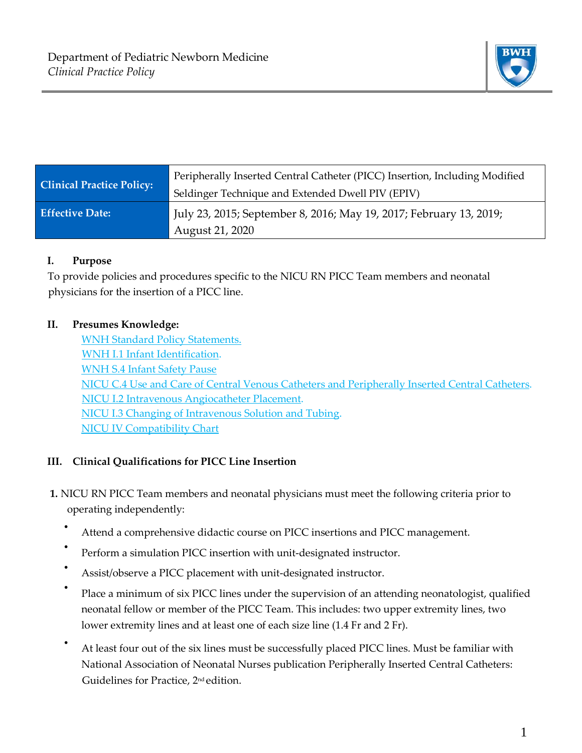

| <b>Clinical Practice Policy:</b> | Peripherally Inserted Central Catheter (PICC) Insertion, Including Modified<br>Seldinger Technique and Extended Dwell PIV (EPIV) |
|----------------------------------|----------------------------------------------------------------------------------------------------------------------------------|
| <b>Effective Date:</b>           | July 23, 2015; September 8, 2016; May 19, 2017; February 13, 2019;<br>August 21, 2020                                            |

### **I. Purpose**

To provide policies and procedures specific to the NICU RN PICC Team members and neonatal physicians for the insertion of a PICC line.

### **II. Presumes Knowledge:**

[WNH Standard Policy Statements.](http://www.bwhpikenotes.org/policies/Administration_MedicalStaffManual/documents/1.4.10.doc) [WNH I.1 Infant Identification.](http://www.bwhpikenotes.org/policies/Nursing/CWN_Clinical_Practice_Manual/WNH/WNH_I.1.pdf) [WNH S.4 Infant Safety Pause](https://hospitalpolicies.ellucid.com/documents/view/3312/3396/) [NICU C.4 Use and Care of Central Venous Catheters and Peripherally Inserted Central Catheters.](http://www.bwhpikenotes.org/policies/departments/NICU/documents/Policies/NICU_C_4CentralVenousCatheterGuidelines.doc) [NICU I.2 Intravenous Angiocatheter Placement.](http://www.bwhpikenotes.org/policies/departments/NICU/documents/Policies/NICU_I_2IntravenousAngiocatheterPlacement.doc) [NICU I.3 Changing of Intravenous Solution and Tubing.](http://www.bwhpikenotes.org/policies/departments/NICU/documents/Policies/NICU_I_3ChangesOfIntravenousSolution.doc)  [NICU IV Compatibility Chart](http://www.bwhpikenotes.org/policies/departments/NICU/drug_admin/documents/iv%20compatibility%20chart%20for%20nicu.xls)

# **III. Clinical Qualifications for PICC Line Insertion**

- **1.** NICU RN PICC Team members and neonatal physicians must meet the following criteria prior to operating independently:
	- Attend a comprehensive didactic course on PICC insertions and PICC management.
	- Perform a simulation PICC insertion with unit-designated instructor.
	- Assist/observe a PICC placement with unit-designated instructor.
	- Place a minimum of six PICC lines under the supervision of an attending neonatologist, qualified neonatal fellow or member of the PICC Team. This includes: two upper extremity lines, two lower extremity lines and at least one of each size line (1.4 Fr and 2 Fr).
	- At least four out of the six lines must be successfully placed PICC lines. Must be familiar with National Association of Neonatal Nurses publication Peripherally Inserted Central Catheters: Guidelines for Practice, 2nd edition.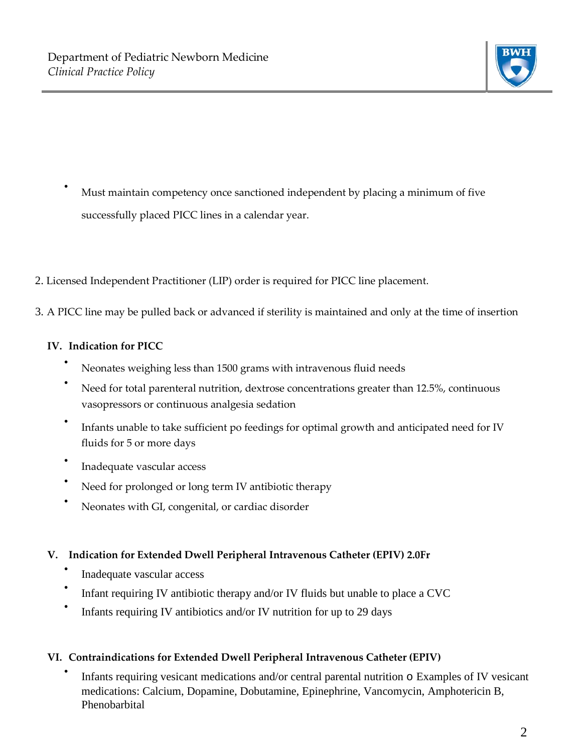

- Must maintain competency once sanctioned independent by placing a minimum of five successfully placed PICC lines in a calendar year.
- 2. Licensed Independent Practitioner (LIP) order is required for PICC line placement.
- 3. A PICC line may be pulled back or advanced if sterility is maintained and only at the time of insertion

### **IV. Indication for PICC**

- Neonates weighing less than 1500 grams with intravenous fluid needs
- Need for total parenteral nutrition, dextrose concentrations greater than 12.5%, continuous vasopressors or continuous analgesia sedation
- Infants unable to take sufficient po feedings for optimal growth and anticipated need for IV fluids for 5 or more days
- Inadequate vascular access
- Need for prolonged or long term IV antibiotic therapy
- Neonates with GI, congenital, or cardiac disorder

### **V. Indication for Extended Dwell Peripheral Intravenous Catheter (EPIV) 2.0Fr**

- Inadequate vascular access
- Infant requiring IV antibiotic therapy and/or IV fluids but unable to place a CVC
- Infants requiring IV antibiotics and/or IV nutrition for up to 29 days

### **VI. Contraindications for Extended Dwell Peripheral Intravenous Catheter (EPIV)**

Infants requiring vesicant medications and/or central parental nutrition  $\circ$  Examples of IV vesicant medications: Calcium, Dopamine, Dobutamine, Epinephrine, Vancomycin, Amphotericin B, Phenobarbital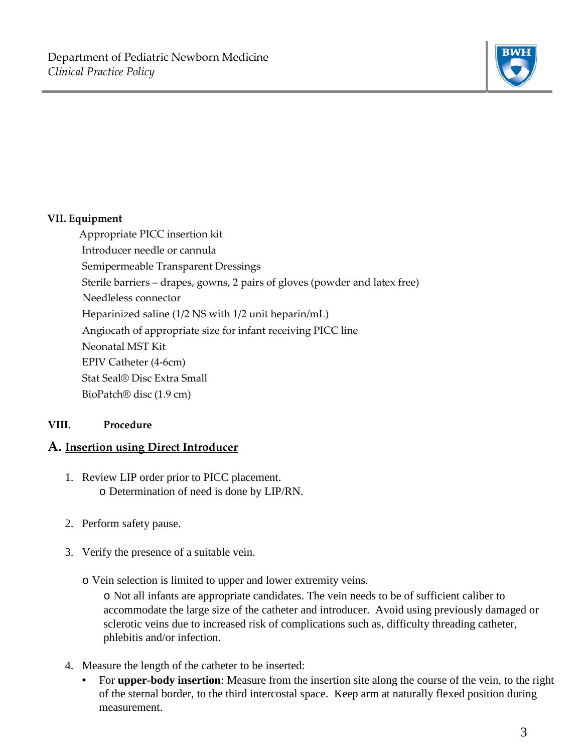

### **VII. Equipment**

Appropriate PICC insertion kit Introducer needle or cannula Semipermeable Transparent Dressings Sterile barriers – drapes, gowns, 2 pairs of gloves (powder and latex free) Needleless connector Heparinized saline (1/2 NS with 1/2 unit heparin/mL) Angiocath of appropriate size for infant receiving PICC line Neonatal MST Kit EPIV Catheter (4-6cm) Stat Seal® Disc Extra Small BioPatch® disc (1.9 cm)

### **VIII. Procedure**

# **A. Insertion using Direct Introducer**

- 1. Review LIP order prior to PICC placement. o Determination of need is done by LIP/RN.
- 2. Perform safety pause.
- 3. Verify the presence of a suitable vein.
	- o Vein selection is limited to upper and lower extremity veins.

o Not all infants are appropriate candidates. The vein needs to be of sufficient caliber to accommodate the large size of the catheter and introducer. Avoid using previously damaged or sclerotic veins due to increased risk of complications such as, difficulty threading catheter, phlebitis and/or infection.

- 4. Measure the length of the catheter to be inserted:
	- For **upper-body insertion**: Measure from the insertion site along the course of the vein, to the right of the sternal border, to the third intercostal space. Keep arm at naturally flexed position during measurement.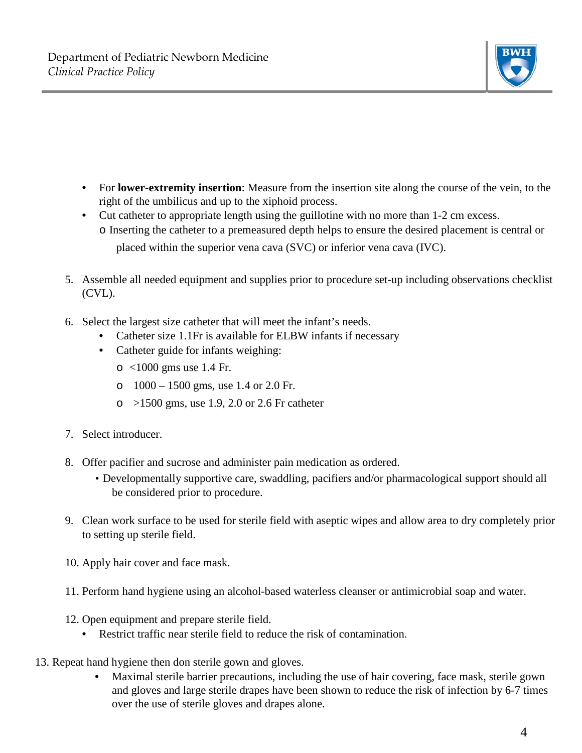

- For **lower-extremity insertion**: Measure from the insertion site along the course of the vein, to the right of the umbilicus and up to the xiphoid process.
- Cut catheter to appropriate length using the guillotine with no more than 1-2 cm excess. o Inserting the catheter to a premeasured depth helps to ensure the desired placement is central or placed within the superior vena cava (SVC) or inferior vena cava (IVC).
- 5. Assemble all needed equipment and supplies prior to procedure set-up including observations checklist (CVL).
- 6. Select the largest size catheter that will meet the infant's needs.
	- Catheter size 1.1Fr is available for ELBW infants if necessary
	- Catheter guide for infants weighing:
		- o <1000 gms use 1.4 Fr.
		- o  $1000 1500$  gms, use 1.4 or 2.0 Fr.
		- $\circ$  >1500 gms, use 1.9, 2.0 or 2.6 Fr catheter
- 7. Select introducer.
- 8. Offer pacifier and sucrose and administer pain medication as ordered.
	- Developmentally supportive care, swaddling, pacifiers and/or pharmacological support should all be considered prior to procedure.
- 9. Clean work surface to be used for sterile field with aseptic wipes and allow area to dry completely prior to setting up sterile field.
- 10. Apply hair cover and face mask.
- 11. Perform hand hygiene using an alcohol-based waterless cleanser or antimicrobial soap and water.
- 12. Open equipment and prepare sterile field.
	- Restrict traffic near sterile field to reduce the risk of contamination.
- 13. Repeat hand hygiene then don sterile gown and gloves.
	- Maximal sterile barrier precautions, including the use of hair covering, face mask, sterile gown and gloves and large sterile drapes have been shown to reduce the risk of infection by 6-7 times over the use of sterile gloves and drapes alone.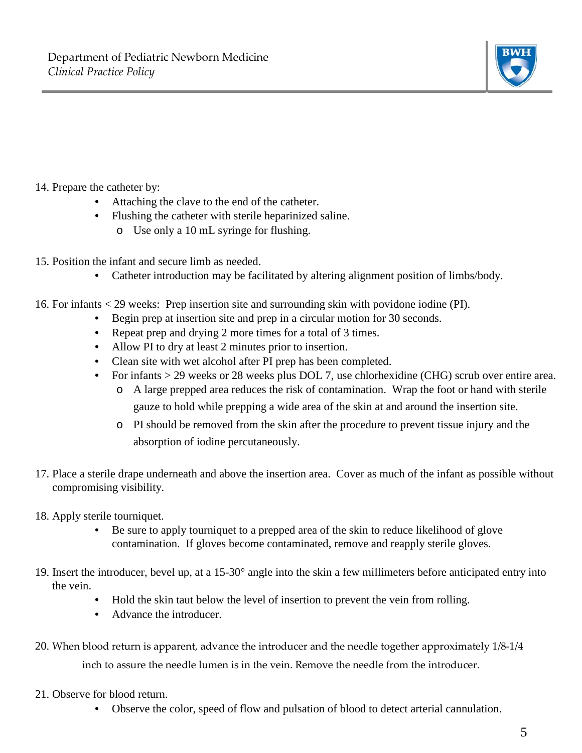

# 14. Prepare the catheter by:

- Attaching the clave to the end of the catheter.
- Flushing the catheter with sterile heparinized saline.
	- o Use only a 10 mL syringe for flushing.
- 15. Position the infant and secure limb as needed.
	- Catheter introduction may be facilitated by altering alignment position of limbs/body.
- 16. For infants < 29 weeks: Prep insertion site and surrounding skin with povidone iodine (PI).
	- Begin prep at insertion site and prep in a circular motion for 30 seconds.
	- Repeat prep and drying 2 more times for a total of 3 times.
	- Allow PI to dry at least 2 minutes prior to insertion.
	- Clean site with wet alcohol after PI prep has been completed.
	- For infants > 29 weeks or 28 weeks plus DOL 7, use chlorhexidine (CHG) scrub over entire area.
		- o A large prepped area reduces the risk of contamination. Wrap the foot or hand with sterile gauze to hold while prepping a wide area of the skin at and around the insertion site.
		- o PI should be removed from the skin after the procedure to prevent tissue injury and the absorption of iodine percutaneously.
- 17. Place a sterile drape underneath and above the insertion area. Cover as much of the infant as possible without compromising visibility.
- 18. Apply sterile tourniquet.
	- Be sure to apply tourniquet to a prepped area of the skin to reduce likelihood of glove contamination. If gloves become contaminated, remove and reapply sterile gloves.
- 19. Insert the introducer, bevel up, at a 15-30° angle into the skin a few millimeters before anticipated entry into the vein.
	- Hold the skin taut below the level of insertion to prevent the vein from rolling.
	- Advance the introducer.
- 20. When blood return is apparent, advance the introducer and the needle together approximately 1/8-1/4 inch to assure the needle lumen is in the vein. Remove the needle from the introducer.
- 21. Observe for blood return.
	- Observe the color, speed of flow and pulsation of blood to detect arterial cannulation.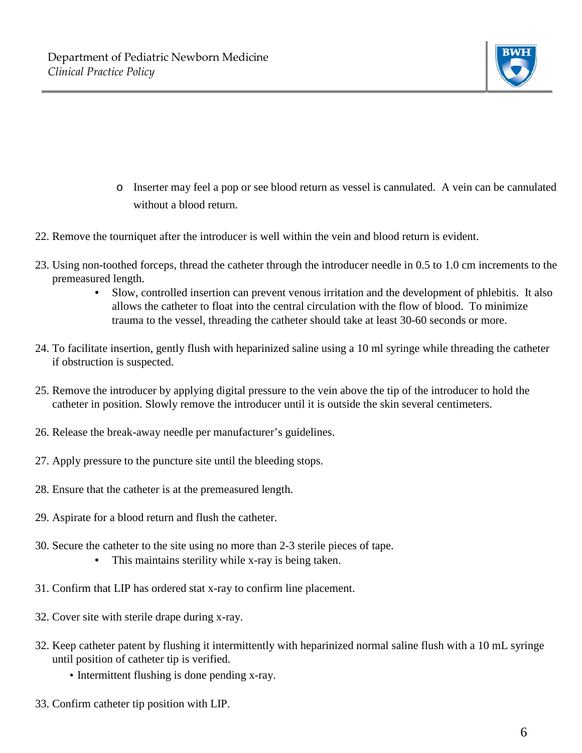

- o Inserter may feel a pop or see blood return as vessel is cannulated. A vein can be cannulated without a blood return.
- 22. Remove the tourniquet after the introducer is well within the vein and blood return is evident.
- 23. Using non-toothed forceps, thread the catheter through the introducer needle in 0.5 to 1.0 cm increments to the premeasured length.
	- Slow, controlled insertion can prevent venous irritation and the development of phlebitis. It also allows the catheter to float into the central circulation with the flow of blood. To minimize trauma to the vessel, threading the catheter should take at least 30-60 seconds or more.
- 24. To facilitate insertion, gently flush with heparinized saline using a 10 ml syringe while threading the catheter if obstruction is suspected.
- 25. Remove the introducer by applying digital pressure to the vein above the tip of the introducer to hold the catheter in position. Slowly remove the introducer until it is outside the skin several centimeters.
- 26. Release the break-away needle per manufacturer's guidelines.
- 27. Apply pressure to the puncture site until the bleeding stops.
- 28. Ensure that the catheter is at the premeasured length.
- 29. Aspirate for a blood return and flush the catheter.
- 30. Secure the catheter to the site using no more than 2-3 sterile pieces of tape.
	- This maintains sterility while x-ray is being taken.
- 31. Confirm that LIP has ordered stat x-ray to confirm line placement.
- 32. Cover site with sterile drape during x-ray.
- 32. Keep catheter patent by flushing it intermittently with heparinized normal saline flush with a 10 mL syringe until position of catheter tip is verified.
	- Intermittent flushing is done pending x-ray.
- 33. Confirm catheter tip position with LIP.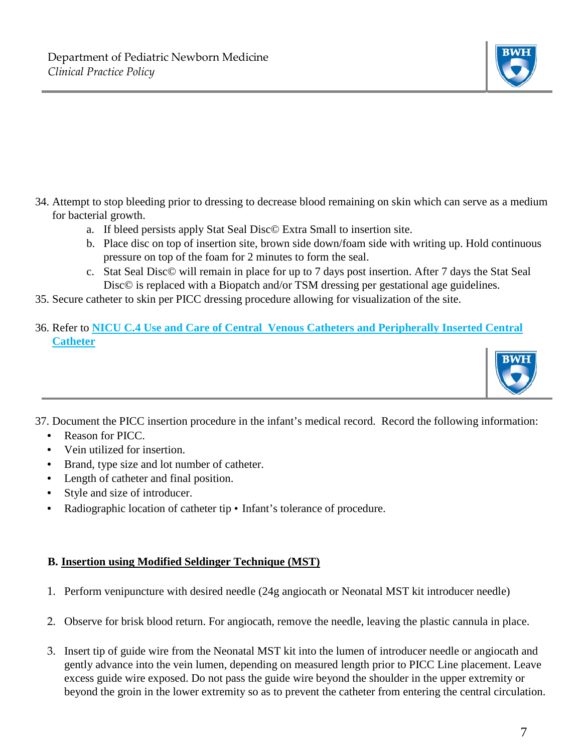

- 34. Attempt to stop bleeding prior to dressing to decrease blood remaining on skin which can serve as a medium for bacterial growth.
	- a. If bleed persists apply Stat Seal Disc© Extra Small to insertion site.
	- b. Place disc on top of insertion site, brown side down/foam side with writing up. Hold continuous pressure on top of the foam for 2 minutes to form the seal.
	- c. Stat Seal Disc© will remain in place for up to 7 days post insertion. After 7 days the Stat Seal Disc© is replaced with a Biopatch and/or TSM dressing per gestational age guidelines.
- 35. Secure catheter to skin per PICC dressing procedure allowing for visualization of the site.
- 36. Refer to **NICU C.4 Use and Care of Central Venous Catheters and Peripherally Inserted Central Catheter**



- 37. Document the PICC insertion procedure in the infant's medical record. Record the following information:
	- Reason for PICC.
	- Vein utilized for insertion.
	- Brand, type size and lot number of catheter.
	- Length of catheter and final position.
	- Style and size of introducer.
	- Radiographic location of catheter tip Infant's tolerance of procedure.

# **B. Insertion using Modified Seldinger Technique (MST)**

- 1. Perform venipuncture with desired needle (24g angiocath or Neonatal MST kit introducer needle)
- 2. Observe for brisk blood return. For angiocath, remove the needle, leaving the plastic cannula in place.
- 3. Insert tip of guide wire from the Neonatal MST kit into the lumen of introducer needle or angiocath and gently advance into the vein lumen, depending on measured length prior to PICC Line placement. Leave excess guide wire exposed. Do not pass the guide wire beyond the shoulder in the upper extremity or beyond the groin in the lower extremity so as to prevent the catheter from entering the central circulation.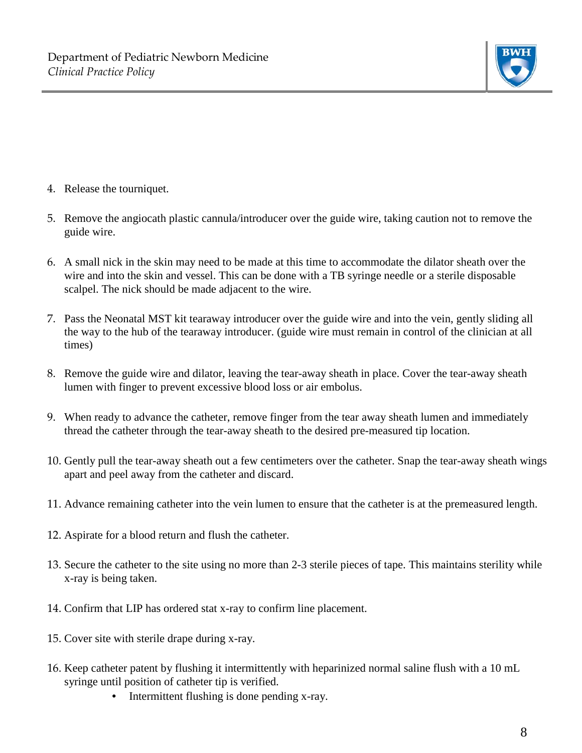

- 4. Release the tourniquet.
- 5. Remove the angiocath plastic cannula/introducer over the guide wire, taking caution not to remove the guide wire.
- 6. A small nick in the skin may need to be made at this time to accommodate the dilator sheath over the wire and into the skin and vessel. This can be done with a TB syringe needle or a sterile disposable scalpel. The nick should be made adjacent to the wire.
- 7. Pass the Neonatal MST kit tearaway introducer over the guide wire and into the vein, gently sliding all the way to the hub of the tearaway introducer. (guide wire must remain in control of the clinician at all times)
- 8. Remove the guide wire and dilator, leaving the tear-away sheath in place. Cover the tear-away sheath lumen with finger to prevent excessive blood loss or air embolus.
- 9. When ready to advance the catheter, remove finger from the tear away sheath lumen and immediately thread the catheter through the tear-away sheath to the desired pre-measured tip location.
- 10. Gently pull the tear-away sheath out a few centimeters over the catheter. Snap the tear-away sheath wings apart and peel away from the catheter and discard.
- 11. Advance remaining catheter into the vein lumen to ensure that the catheter is at the premeasured length.
- 12. Aspirate for a blood return and flush the catheter.
- 13. Secure the catheter to the site using no more than 2-3 sterile pieces of tape. This maintains sterility while x-ray is being taken.
- 14. Confirm that LIP has ordered stat x-ray to confirm line placement.
- 15. Cover site with sterile drape during x-ray.
- 16. Keep catheter patent by flushing it intermittently with heparinized normal saline flush with a 10 mL syringe until position of catheter tip is verified.
	- Intermittent flushing is done pending x-ray.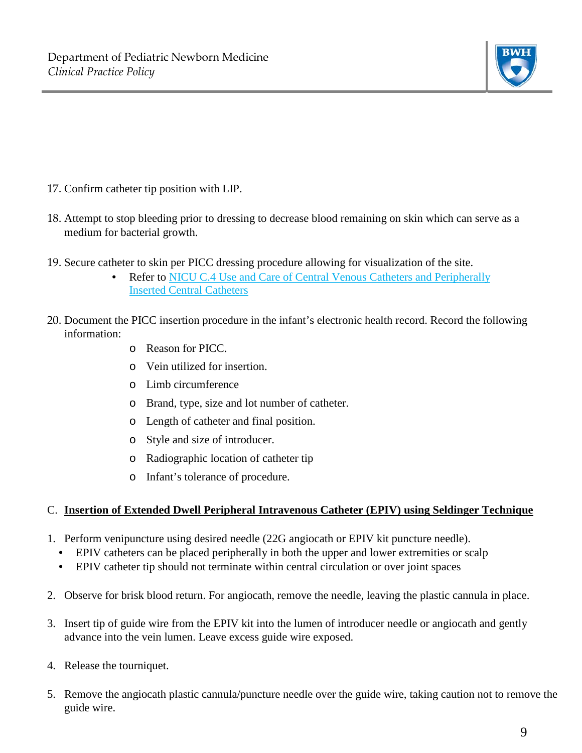

- 17. Confirm catheter tip position with LIP.
- 18. Attempt to stop bleeding prior to dressing to decrease blood remaining on skin which can serve as a medium for bacterial growth.
- 19. Secure catheter to skin per PICC dressing procedure allowing for visualization of the site.
	- Refer to [NICU C.4 Use and Care of Central Venous Catheters and Peripherally](http://www.bwhpikenotes.org/policies/departments/NICU/documents/Policies/NICU_C_4CentralVenousCatheterGuidelines.doc) [Inserted Central Catheters](http://www.bwhpikenotes.org/policies/departments/NICU/documents/Policies/NICU_C_4CentralVenousCatheterGuidelines.doc)
- 20. Document the PICC insertion procedure in the infant's electronic health record. Record the following information:
	- o Reason for PICC.
	- o Vein utilized for insertion.
	- o Limb circumference
	- o Brand, type, size and lot number of catheter.
	- o Length of catheter and final position.
	- o Style and size of introducer.
	- o Radiographic location of catheter tip
	- o Infant's tolerance of procedure.

#### C. **Insertion of Extended Dwell Peripheral Intravenous Catheter (EPIV) using Seldinger Technique**

- 1. Perform venipuncture using desired needle (22G angiocath or EPIV kit puncture needle).
	- EPIV catheters can be placed peripherally in both the upper and lower extremities or scalp
	- EPIV catheter tip should not terminate within central circulation or over joint spaces
- 2. Observe for brisk blood return. For angiocath, remove the needle, leaving the plastic cannula in place.
- 3. Insert tip of guide wire from the EPIV kit into the lumen of introducer needle or angiocath and gently advance into the vein lumen. Leave excess guide wire exposed.
- 4. Release the tourniquet.
- 5. Remove the angiocath plastic cannula/puncture needle over the guide wire, taking caution not to remove the guide wire.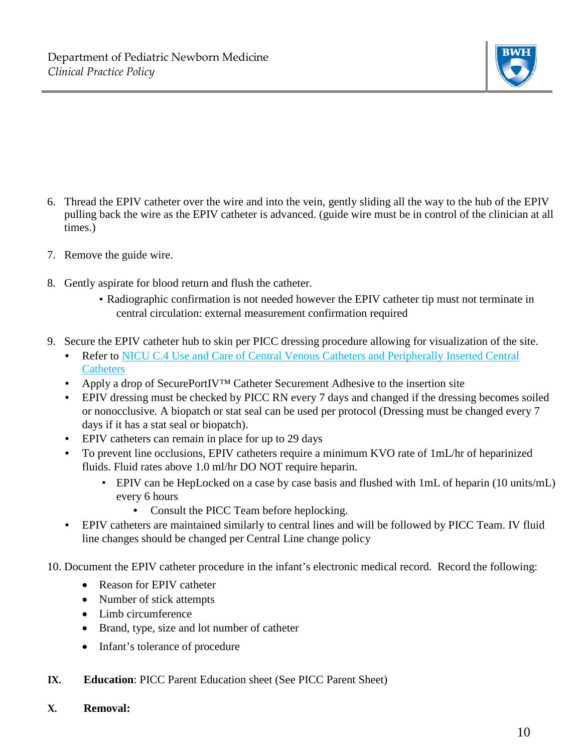

- 6. Thread the EPIV catheter over the wire and into the vein, gently sliding all the way to the hub of the EPIV pulling back the wire as the EPIV catheter is advanced. (guide wire must be in control of the clinician at all times.)
- 7. Remove the guide wire.
- 8. Gently aspirate for blood return and flush the catheter.
	- Radiographic confirmation is not needed however the EPIV catheter tip must not terminate in central circulation: external measurement confirmation required
- 9. Secure the EPIV catheter hub to skin per PICC dressing procedure allowing for visualization of the site.
	- Refer to NICU C.4 Use and Care of Central Venous Catheters and Peripherally Inserted Central **Catheters**
	- Apply a drop of SecurePortIV<sup>™</sup> Catheter Securement Adhesive to the insertion site
	- EPIV dressing must be checked by PICC RN every 7 days and changed if the dressing becomes soiled or nonocclusive. A biopatch or stat seal can be used per protocol (Dressing must be changed every 7 days if it has a stat seal or biopatch).
	- EPIV catheters can remain in place for up to 29 days
	- To prevent line occlusions, EPIV catheters require a minimum KVO rate of 1mL/hr of heparinized fluids. Fluid rates above 1.0 ml/hr DO NOT require heparin.
		- EPIV can be HepLocked on a case by case basis and flushed with 1mL of heparin (10 units/mL) every 6 hours
			- Consult the PICC Team before heplocking.
	- EPIV catheters are maintained similarly to central lines and will be followed by PICC Team. IV fluid line changes should be changed per Central Line change policy

10. Document the EPIV catheter procedure in the infant's electronic medical record. Record the following:

- Reason for EPIV catheter
- Number of stick attempts
- Limb circumference
- Brand, type, size and lot number of catheter
- Infant's tolerance of procedure
- **IX. Education**: PICC Parent Education sheet (See PICC Parent Sheet)
- **X. Removal:**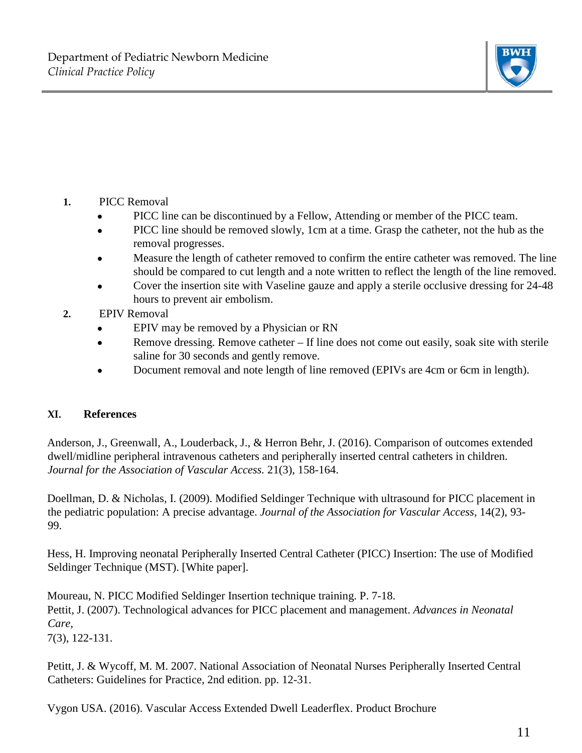

- **1.** PICC Removal
	- PICC line can be discontinued by a Fellow, Attending or member of the PICC team.
	- PICC line should be removed slowly, 1cm at a time. Grasp the catheter, not the hub as the removal progresses.
	- Measure the length of catheter removed to confirm the entire catheter was removed. The line should be compared to cut length and a note written to reflect the length of the line removed.
	- Cover the insertion site with Vaseline gauze and apply a sterile occlusive dressing for 24-48 hours to prevent air embolism.
- **2.** EPIV Removal
	- EPIV may be removed by a Physician or RN
	- Remove dressing. Remove catheter If line does not come out easily, soak site with sterile saline for 30 seconds and gently remove.
	- Document removal and note length of line removed (EPIVs are 4cm or 6cm in length).

# **XI. References**

Anderson, J., Greenwall, A., Louderback, J., & Herron Behr, J. (2016). Comparison of outcomes extended dwell/midline peripheral intravenous catheters and peripherally inserted central catheters in children. *Journal for the Association of Vascular Access.* 21(3), 158-164.

Doellman, D. & Nicholas, I. (2009). Modified Seldinger Technique with ultrasound for PICC placement in the pediatric population: A precise advantage. *Journal of the Association for Vascular Access,* 14(2), 93- 99.

Hess, H. Improving neonatal Peripherally Inserted Central Catheter (PICC) Insertion: The use of Modified Seldinger Technique (MST). [White paper].

Moureau, N. PICC Modified Seldinger Insertion technique training. P. 7-18. Pettit, J. (2007). Technological advances for PICC placement and management. *Advances in Neonatal Care,* 7(3), 122-131.

Petitt, J. & Wycoff, M. M. 2007. National Association of Neonatal Nurses Peripherally Inserted Central Catheters: Guidelines for Practice, 2nd edition. pp. 12-31.

Vygon USA. (2016). Vascular Access Extended Dwell Leaderflex. Product Brochure